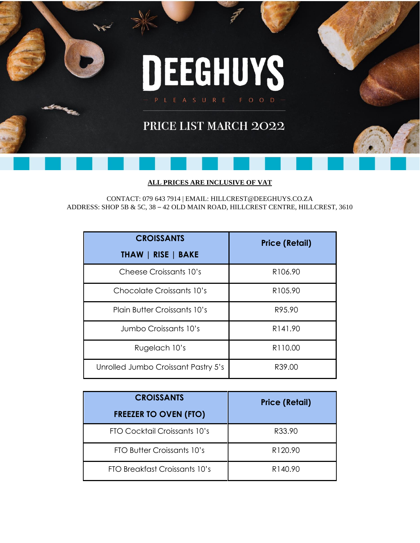

# PRICE LIST MARCH 2022

#### **ALL PRICES ARE INCLUSIVE OF VAT**

CONTACT: 079 643 7914 | EMAIL: [HILLCREST@DEEGHUYS.CO.ZA](mailto:HILLCREST@DEEGHUYS.CO.ZA) ADDRESS: SHOP 5B & 5C, 38 – 42 OLD MAIN ROAD, HILLCREST CENTRE, HILLCREST, 3610

| <b>CROISSANTS</b><br>THAW   RISE   BAKE | <b>Price (Retail)</b> |
|-----------------------------------------|-----------------------|
| Cheese Croissants 10's                  | R <sub>106.90</sub>   |
| Chocolate Croissants 10's               | R <sub>105.90</sub>   |
| <b>Plain Butter Croissants 10's</b>     | R95.90                |
| Jumbo Croissants 10's                   | R <sub>14</sub> 1.90  |
| Rugelach 10's                           | R110.00               |
| Unrolled Jumbo Croissant Pastry 5's     | R39.00                |

| <b>CROISSANTS</b>             | <b>Price (Retail)</b> |
|-------------------------------|-----------------------|
| <b>FREEZER TO OVEN (FTO)</b>  |                       |
| FTO Cocktail Croissants 10's  | R33.90                |
| FTO Butter Croissants 10's    | R120.90               |
| FTO Breakfast Croissants 10's | R140.90               |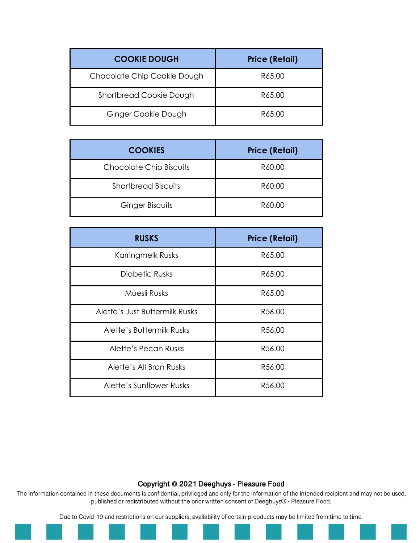| <b>COOKIE DOUGH</b>         | <b>Price (Retail)</b> |
|-----------------------------|-----------------------|
| Chocolate Chip Cookie Dough | R65.00                |
| Shortbread Cookie Dough     | R65.00                |
| Ginger Cookie Dough         | R65.00                |

| <b>COOKIES</b>                 | <b>Price (Retail)</b> |
|--------------------------------|-----------------------|
| <b>Chocolate Chip Biscuits</b> | R60.00                |
| <b>Shortbread Biscuits</b>     | R60.00                |
| <b>Ginger Biscuits</b>         | R60.00                |

| <b>RUSKS</b>                   | <b>Price (Retail)</b> |
|--------------------------------|-----------------------|
| Karringmelk Rusks              | R65.00                |
| Diabetic Rusks                 | R65.00                |
| Muesli Rusks                   | R65.00                |
| Alette's Just Buttermilk Rusks | R56.00                |
| Alette's Buttermilk Rusks      | R56.00                |
| Alette's Pecan Rusks           | R56.00                |
| Alette's All Bran Rusks        | R56.00                |
| Alette's Sunflower Rusks       | R56.00                |

The information contained in these documents is confidential, privileged and only for the information of the intended recipient and may not be used, published or redistributed without the prior written consent of Deeghuys® - Pleasure Food.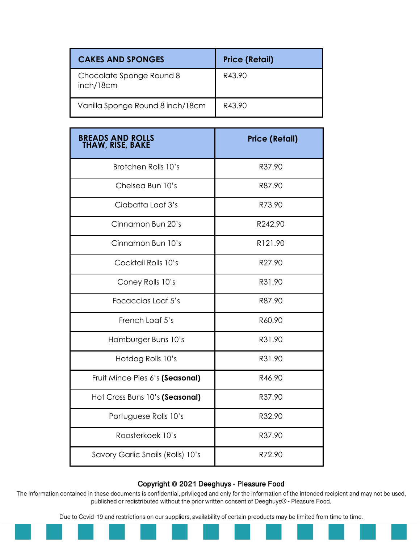| <b>CAKES AND SPONGES</b>              | <b>Price (Retail)</b> |
|---------------------------------------|-----------------------|
| Chocolate Sponge Round 8<br>inch/18cm | R43.90                |
| Vanilla Sponge Round 8 inch/18cm      | R43.90                |

| <b>BREADS AND ROLLS<br/>THAW, RISE, BAKE</b> | <b>Price (Retail)</b> |
|----------------------------------------------|-----------------------|
| Brotchen Rolls 10's                          | R37.90                |
| Chelsea Bun 10's                             | R87.90                |
| Ciabatta Loaf 3's                            | R73.90                |
| Cinnamon Bun 20's                            | R242.90               |
| Cinnamon Bun 10's                            | R121.90               |
| Cocktail Rolls 10's                          | R27.90                |
| Coney Rolls 10's                             | R31.90                |
| Focaccias Loaf 5's                           | R87.90                |
| French Loaf 5's                              | R60.90                |
| Hamburger Buns 10's                          | R31.90                |
| Hotdog Rolls 10's                            | R31.90                |
| Fruit Mince Pies 6's (Seasonal)              | R46.90                |
| Hot Cross Buns 10's (Seasonal)               | R37.90                |
| Portuguese Rolls 10's                        | R32.90                |
| Roosterkoek 10's                             | R37.90                |
| Savory Garlic Snails (Rolls) 10's            | R72.90                |

The information contained in these documents is confidential, privileged and only for the information of the intended recipient and may not be used, published or redistributed without the prior written consent of Deeghuys® - Pleasure Food.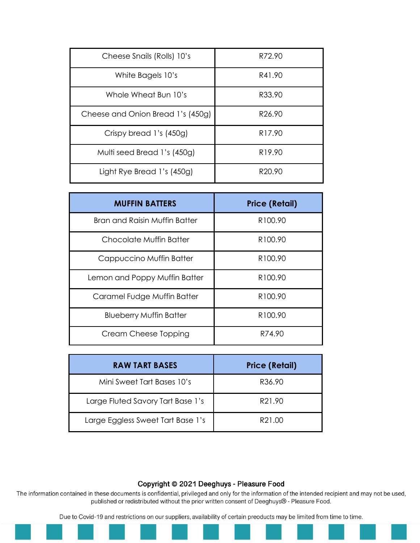| Cheese Snails (Rolls) 10's        | R72.90             |
|-----------------------------------|--------------------|
| White Bagels 10's                 | R41.90             |
| Whole Wheat Bun 10's              | R33.90             |
| Cheese and Onion Bread 1's (450g) | R <sub>26.90</sub> |
| Crispy bread 1's (450g)           | R <sub>17.90</sub> |
| Multi seed Bread 1's (450g)       | R <sub>19.90</sub> |
| Light Rye Bread 1's (450g)        | R <sub>20.90</sub> |

| <b>MUFFIN BATTERS</b>          | <b>Price (Retail)</b> |
|--------------------------------|-----------------------|
| Bran and Raisin Muffin Batter  | R <sub>100.90</sub>   |
| Chocolate Muffin Batter        | R <sub>100.90</sub>   |
| Cappuccino Muffin Batter       | R <sub>100.90</sub>   |
| Lemon and Poppy Muffin Batter  | R <sub>100.90</sub>   |
| Caramel Fudge Muffin Batter    | R <sub>100.90</sub>   |
| <b>Blueberry Muffin Batter</b> | R <sub>100.90</sub>   |
| Cream Cheese Topping           | R74.90                |

| RAW TART BASES                    | <b>Price (Retail)</b> |
|-----------------------------------|-----------------------|
| Mini Sweet Tart Bases 10's        | R36.90                |
| Large Fluted Savory Tart Base 1's | R21.90                |
| Large Eggless Sweet Tart Base 1's | R21.00                |

The information contained in these documents is confidential, privileged and only for the information of the intended recipient and may not be used, published or redistributed without the prior written consent of Deeghuys® - Pleasure Food.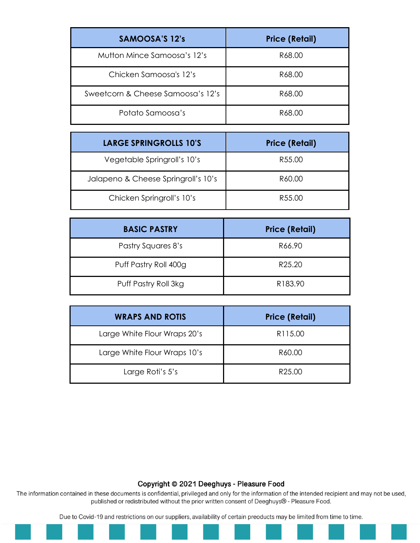| SAMOOSA'S 12's                    | <b>Price (Retail)</b> |
|-----------------------------------|-----------------------|
| Mutton Mince Samoosa's 12's       | R68.00                |
| Chicken Samoosa's 12's            | R68.00                |
| Sweetcorn & Cheese Samoosa's 12's | R68.00                |
| Potato Samoosa's                  | R68.00                |

| <b>LARGE SPRINGROLLS 10'S</b>       | <b>Price (Retail)</b> |
|-------------------------------------|-----------------------|
| Vegetable Springroll's 10's         | R55.00                |
| Jalapeno & Cheese Springroll's 10's | R60.00                |
| Chicken Springroll's 10's           | R55.00                |

| <b>BASIC PASTRY</b>   | <b>Price (Retail)</b> |
|-----------------------|-----------------------|
| Pastry Squares 8's    | R66.90                |
| Puff Pastry Roll 400g | R <sub>25.20</sub>    |
| Puff Pastry Roll 3kg  | R183.90               |

| <b>WRAPS AND ROTIS</b>       | <b>Price (Retail)</b> |
|------------------------------|-----------------------|
| Large White Flour Wraps 20's | R115.00               |
| Large White Flour Wraps 10's | R60.00                |
| Large Roti's 5's             | R <sub>25.00</sub>    |

The information contained in these documents is confidential, privileged and only for the information of the intended recipient and may not be used, published or redistributed without the prior written consent of Deeghuys® - Pleasure Food.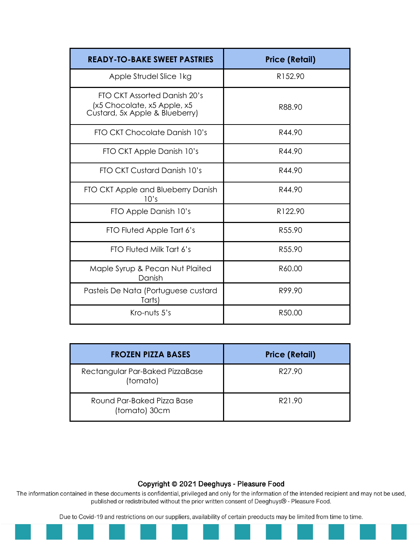| <b>READY-TO-BAKE SWEET PASTRIES</b>                                                           | <b>Price (Retail)</b> |
|-----------------------------------------------------------------------------------------------|-----------------------|
| Apple Strudel Slice 1kg                                                                       | R152.90               |
| FTO CKT Assorted Danish 20's<br>(x5 Chocolate, x5 Apple, x5<br>Custard, 5x Apple & Blueberry) | R88.90                |
| FTO CKT Chocolate Danish 10's                                                                 | R44.90                |
| FTO CKT Apple Danish 10's                                                                     | R44.90                |
| FTO CKT Custard Danish 10's                                                                   | R44.90                |
| FTO CKT Apple and Blueberry Danish<br>10's                                                    | R44.90                |
| FTO Apple Danish 10's                                                                         | R122.90               |
| FTO Fluted Apple Tart 6's                                                                     | R55.90                |
| FTO Fluted Milk Tart 6's                                                                      | R55.90                |
| Maple Syrup & Pecan Nut Plaited<br>Danish                                                     | R60.00                |
| Pasteis De Nata (Portuguese custard<br>Tarts)                                                 | R99.90                |
| Kro-nuts 5's                                                                                  | R50.00                |

| <b>FROZEN PIZZA BASES</b>                   | <b>Price (Retail)</b> |
|---------------------------------------------|-----------------------|
| Rectangular Par-Baked PizzaBase<br>(tomato) | R <sub>27.90</sub>    |
| Round Par-Baked Pizza Base<br>(tomato) 30cm | R21.90                |

The information contained in these documents is confidential, privileged and only for the information of the intended recipient and may not be used, published or redistributed without the prior written consent of Deeghuys® - Pleasure Food.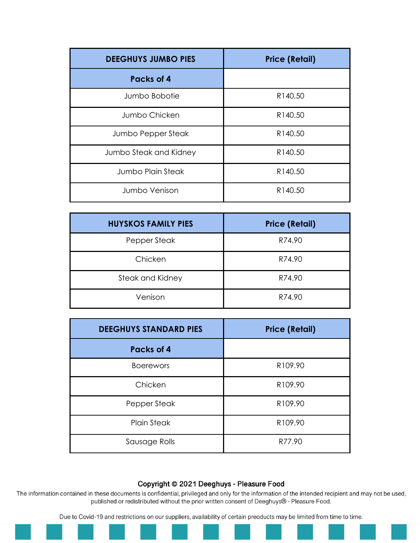| <b>DEEGHUYS JUMBO PIES</b> | <b>Price (Retail)</b> |
|----------------------------|-----------------------|
| <b>Packs of 4</b>          |                       |
| Jumbo Bobotie              | R140.50               |
| Jumbo Chicken              | R140.50               |
| Jumbo Pepper Steak         | R140.50               |
| Jumbo Steak and Kidney     | R140.50               |
| <b>Jumbo Plain Steak</b>   | R140.50               |
| Jumbo Venison              | R140.50               |

| <b>HUYSKOS FAMILY PIES</b> | <b>Price (Retail)</b> |
|----------------------------|-----------------------|
| Pepper Steak               | R74.90                |
| Chicken                    | R74.90                |
| Steak and Kidney           | R74.90                |
| Venison                    | R74.90                |

| <b>DEEGHUYS STANDARD PIES</b> | <b>Price (Retail)</b> |
|-------------------------------|-----------------------|
| Packs of 4                    |                       |
| <b>Boerewors</b>              | R109.90               |
| Chicken                       | R109.90               |
| Pepper Steak                  | R109.90               |
| <b>Plain Steak</b>            | R109.90               |
| Sausage Rolls                 | R77.90                |

The information contained in these documents is confidential, privileged and only for the information of the intended recipient and may not be used, published or redistributed without the prior written consent of Deeghuys® - Pleasure Food.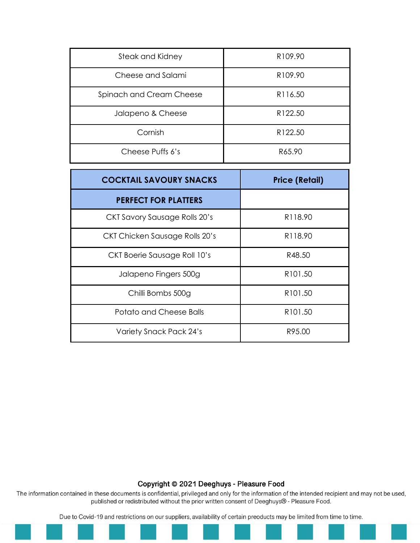| Steak and Kidney         | R <sub>109.90</sub> |
|--------------------------|---------------------|
| Cheese and Salami        | R109.90             |
| Spinach and Cream Cheese | R116.50             |
| Jalapeno & Cheese        | R122.50             |
| Cornish                  | R122.50             |
| Cheese Puffs 6's         | R65.90              |

| <b>COCKTAIL SAVOURY SNACKS</b> | <b>Price (Retail)</b> |
|--------------------------------|-----------------------|
| <b>PERFECT FOR PLATTERS</b>    |                       |
| CKT Savory Sausage Rolls 20's  | R <sub>118.90</sub>   |
| CKT Chicken Sausage Rolls 20's | R <sub>118.90</sub>   |
| CKT Boerie Sausage Roll 10's   | R48.50                |
| Jalapeno Fingers 500g          | R <sub>101.50</sub>   |
| Chilli Bombs 500g              | R101.50               |
| Potato and Cheese Balls        | R <sub>101.50</sub>   |
| Variety Snack Pack 24's        | R95.00                |

The information contained in these documents is confidential, privileged and only for the information of the intended recipient and may not be used, published or redistributed without the prior written consent of Deeghuys® - Pleasure Food.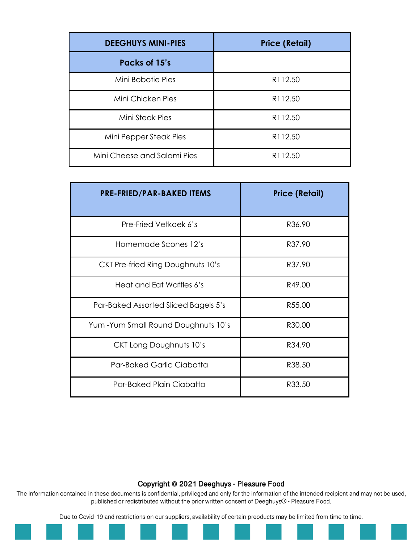| <b>DEEGHUYS MINI-PIES</b>   | <b>Price (Retail)</b> |
|-----------------------------|-----------------------|
| Packs of 15's               |                       |
| Mini Bobotie Pies           | R112.50               |
| Mini Chicken Pies           | R112.50               |
| Mini Steak Pies             | R112.50               |
| Mini Pepper Steak Pies      | R112.50               |
| Mini Cheese and Salami Pies | R112.50               |

| <b>PRE-FRIED/PAR-BAKED ITEMS</b>     | <b>Price (Retail)</b> |
|--------------------------------------|-----------------------|
| Pre-Fried Vetkoek 6's                | R36.90                |
| Homemade Scones 12's                 | R37.90                |
| CKT Pre-fried Ring Doughnuts 10's    | R37.90                |
| Heat and Eat Waffles 6's             | R49.00                |
| Par-Baked Assorted Sliced Bagels 5's | R55.00                |
| Yum-Yum Small Round Doughnuts 10's   | R30.00                |
| CKT Long Doughnuts 10's              | R34.90                |
| <b>Par-Baked Garlic Ciabatta</b>     | R38.50                |
| Par-Baked Plain Ciabatta             | R33.50                |

The information contained in these documents is confidential, privileged and only for the information of the intended recipient and may not be used, published or redistributed without the prior written consent of Deeghuys® - Pleasure Food.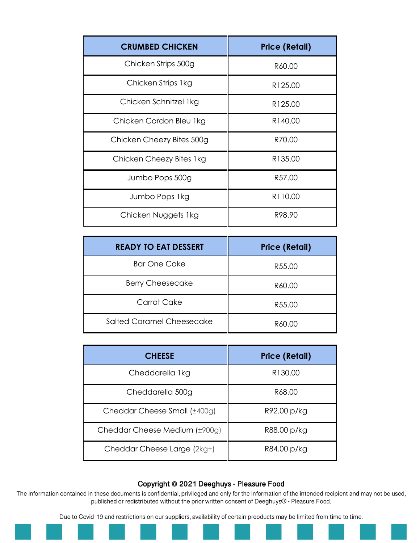| <b>CRUMBED CHICKEN</b>    | <b>Price (Retail)</b> |
|---------------------------|-----------------------|
| Chicken Strips 500g       | R60.00                |
| Chicken Strips 1kg        | R125.00               |
| Chicken Schnitzel 1kg     | R125.00               |
| Chicken Cordon Bleu 1kg   | R140.00               |
| Chicken Cheezy Bites 500g | R70.00                |
| Chicken Cheezy Bites 1kg  | R135.00               |
| Jumbo Pops 500g           | R57.00                |
| Jumbo Pops 1kg            | R <sub>110.00</sub>   |
| Chicken Nuggets 1kg       | R98.90                |

| <b>READY TO EAT DESSERT</b> | <b>Price (Retail)</b> |
|-----------------------------|-----------------------|
| <b>Bar One Cake</b>         | R55.00                |
| <b>Berry Cheesecake</b>     | R60.00                |
| Carrot Cake                 | R55.00                |
| Salted Caramel Cheesecake   | R60.00                |

| <b>CHEESE</b>                 | <b>Price (Retail)</b> |
|-------------------------------|-----------------------|
| Cheddarella 1kg               | R <sub>130.00</sub>   |
| Cheddarella 500g              | R68.00                |
| Cheddar Cheese Small (±400g)  | R92.00 p/kg           |
| Cheddar Cheese Medium (±900g) | R88.00 p/kg           |
| Cheddar Cheese Large (2kg+)   | R84.00 p/kg           |

The information contained in these documents is confidential, privileged and only for the information of the intended recipient and may not be used, published or redistributed without the prior written consent of Deeghuys® - Pleasure Food.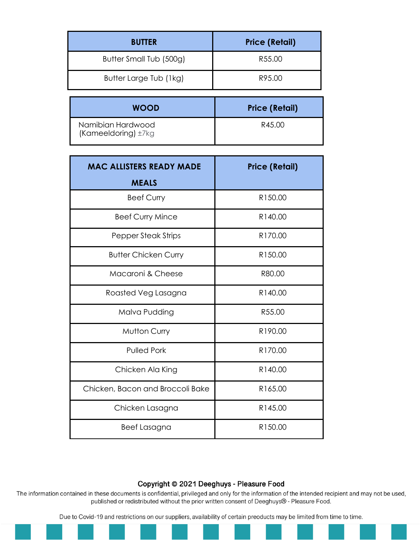| <b>BUTTER</b>           | <b>Price (Retail)</b> |
|-------------------------|-----------------------|
| Butter Small Tub (500g) | R55.00                |
| Butter Large Tub (1kg)  | R95.00                |
|                         |                       |
| <b>WOOD</b>             | <b>Price (Retail)</b> |

| <b>MAC ALLISTERS READY MADE</b>  | <b>Price (Retail)</b> |
|----------------------------------|-----------------------|
| <b>MEALS</b>                     |                       |
| <b>Beef Curry</b>                | R150.00               |
| <b>Beef Curry Mince</b>          | R140.00               |
| Pepper Steak Strips              | R170.00               |
| <b>Butter Chicken Curry</b>      | R150.00               |
| Macaroni & Cheese                | R80.00                |
| Roasted Veg Lasagna              | R140.00               |
| Malva Pudding                    | R55.00                |
| <b>Mutton Curry</b>              | R190.00               |
| <b>Pulled Pork</b>               | R170.00               |
| Chicken Ala King                 | R140.00               |
| Chicken, Bacon and Broccoli Bake | R165.00               |
| Chicken Lasagna                  | R145.00               |
| Beef Lasagna                     | R150.00               |

The information contained in these documents is confidential, privileged and only for the information of the intended recipient and may not be used, published or redistributed without the prior written consent of Deeghuys® - Pleasure Food.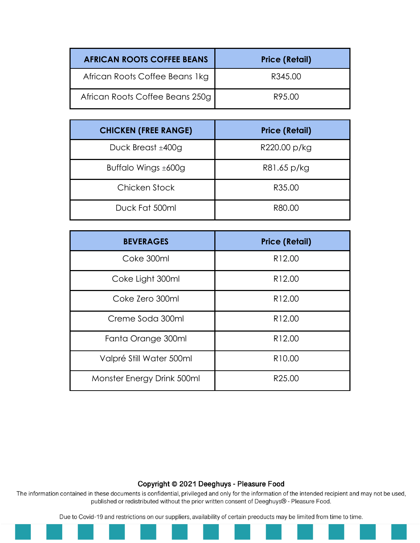| <b>AFRICAN ROOTS COFFEE BEANS</b> | <b>Price (Retail)</b> |
|-----------------------------------|-----------------------|
| African Roots Coffee Beans 1kg    | R345.00               |
| African Roots Coffee Beans 250g   | R95.00                |

| <b>CHICKEN (FREE RANGE)</b> | <b>Price (Retail)</b> |
|-----------------------------|-----------------------|
| Duck Breast $±400g$         | R220.00 p/kg          |
| Buffalo Wings $\pm 600$ g   | R81.65 p/kg           |
| Chicken Stock               | R35.00                |
| Duck Fat 500ml              | R80.00                |

| <b>BEVERAGES</b>           | <b>Price (Retail)</b> |
|----------------------------|-----------------------|
| Coke 300ml                 | R <sub>12.00</sub>    |
| Coke Light 300ml           | R12.00                |
| Coke Zero 300ml            | R12.00                |
| Creme Soda 300ml           | R12.00                |
| Fanta Orange 300ml         | R <sub>12.00</sub>    |
| Valpré Still Water 500ml   | R <sub>10.00</sub>    |
| Monster Energy Drink 500ml | R <sub>25.00</sub>    |

The information contained in these documents is confidential, privileged and only for the information of the intended recipient and may not be used, published or redistributed without the prior written consent of Deeghuys® - Pleasure Food.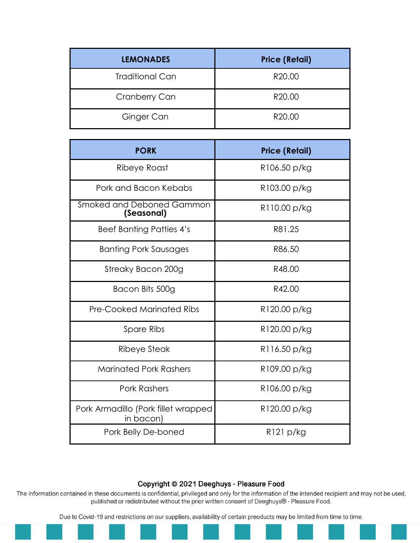| <b>LEMONADES</b>       | <b>Price (Retail)</b> |
|------------------------|-----------------------|
| <b>Traditional Can</b> | R20.00                |
| Cranberry Can          | R20.00                |
| Ginger Can             | R20.00                |

| <b>PORK</b>                                      | <b>Price (Retail)</b> |
|--------------------------------------------------|-----------------------|
| Ribeye Roast                                     | R106.50 p/kg          |
| Pork and Bacon Kebabs                            | R103.00 p/kg          |
| Smoked and Deboned Gammon<br>(Seasonal)          | R110.00 p/kg          |
| <b>Beef Banting Patties 4's</b>                  | R81.25                |
| <b>Banting Pork Sausages</b>                     | R86.50                |
| Streaky Bacon 200g                               | R48.00                |
| Bacon Bits 500g                                  | R42.00                |
| <b>Pre-Cooked Marinated Ribs</b>                 | R120.00 p/kg          |
| <b>Spare Ribs</b>                                | R120.00 p/kg          |
| Ribeye Steak                                     | R116.50 p/kg          |
| <b>Marinated Pork Rashers</b>                    | R109.00 p/kg          |
| <b>Pork Rashers</b>                              | R106.00 p/kg          |
| Pork Armadillo (Pork fillet wrapped<br>in bacon) | R120.00 p/kg          |
| Pork Belly De-boned                              | R121 p/kg             |

The information contained in these documents is confidential, privileged and only for the information of the intended recipient and may not be used, published or redistributed without the prior written consent of Deeghuys® - Pleasure Food.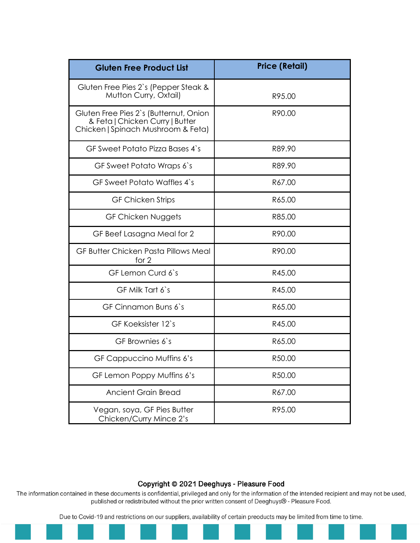| <b>Gluten Free Product List</b>                                                                                 | <b>Price (Retail)</b> |
|-----------------------------------------------------------------------------------------------------------------|-----------------------|
| Gluten Free Pies 2's (Pepper Steak &<br>Mutton Curry, Oxtail)                                                   | R95.00                |
| Gluten Free Pies 2's (Butternut, Onion<br>& Feta   Chicken Curry   Butter<br>Chicken   Spinach Mushroom & Feta) | R90.00                |
| GF Sweet Potato Pizza Bases 4's                                                                                 | R89.90                |
| GF Sweet Potato Wraps 6's                                                                                       | R89.90                |
| GF Sweet Potato Waffles 4's                                                                                     | R67.00                |
| <b>GF Chicken Strips</b>                                                                                        | R65.00                |
| GF Chicken Nuggets                                                                                              | R85.00                |
| GF Beef Lasagna Meal for 2                                                                                      | R90.00                |
| GF Butter Chicken Pasta Pillows Meal<br>for $2$                                                                 | R90.00                |
| GF Lemon Curd 6's                                                                                               | R45.00                |
| GF Milk Tart 6's                                                                                                | R45.00                |
| GF Cinnamon Buns 6's                                                                                            | R65.00                |
| GF Koeksister 12's                                                                                              | R45.00                |
| GF Brownies 6's                                                                                                 | R65.00                |
| GF Cappuccino Muffins 6's                                                                                       | R50.00                |
| GF Lemon Poppy Muffins 6's                                                                                      | R50.00                |
| <b>Ancient Grain Bread</b>                                                                                      | R67.00                |
| Vegan, soya, GF Pies Butter<br>Chicken/Curry Mince 2's                                                          | R95.00                |

The information contained in these documents is confidential, privileged and only for the information of the intended recipient and may not be used, published or redistributed without the prior written consent of Deeghuys® - Pleasure Food.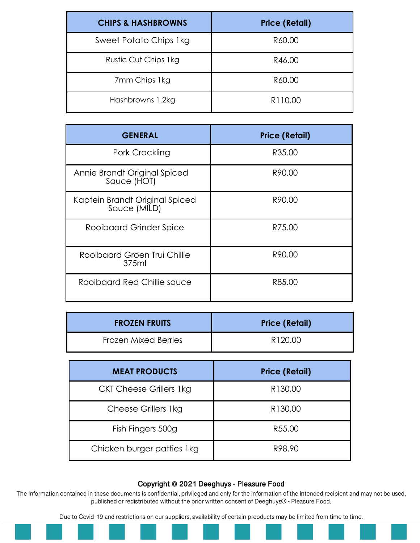| <b>CHIPS &amp; HASHBROWNS</b> | <b>Price (Retail)</b> |
|-------------------------------|-----------------------|
| Sweet Potato Chips 1kg        | R60.00                |
| Rustic Cut Chips 1kg          | R46.00                |
| 7mm Chips 1kg                 | R60.00                |
| Hashbrowns 1.2kg              | R110.00               |

| <b>GENERAL</b>                                 | <b>Price (Retail)</b> |
|------------------------------------------------|-----------------------|
| Pork Crackling                                 | R35.00                |
| Annie Brandt Original Spiced<br>Sauce (HOT)    | R90.00                |
| Kaptein Brandt Original Spiced<br>Sauce (MILD) | R90.00                |
| Rooibaard Grinder Spice                        | R75.00                |
| Rooibaard Groen Trui Chillie<br>375ml          | R90.00                |
| Rooibaard Red Chillie sauce                    | R85.00                |

| <b>FROZEN FRUITS</b> | <b>Price (Retail)</b> |
|----------------------|-----------------------|
| Frozen Mixed Berries | R <sub>120.00</sub>   |

| <b>MEAT PRODUCTS</b>           | <b>Price (Retail)</b> |
|--------------------------------|-----------------------|
| <b>CKT Cheese Grillers 1kg</b> | R130.00               |
| Cheese Grillers 1kg            | R130.00               |
| Fish Fingers 500g              | R55.00                |
| Chicken burger patties 1kg     | R98.90                |

The information contained in these documents is confidential, privileged and only for the information of the intended recipient and may not be used, published or redistributed without the prior written consent of Deeghuys® - Pleasure Food.